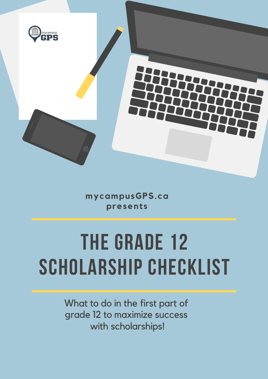

**mycampusGPS.ca presents**

# **THE GRADE 12 SCHOLARSHIP CHECKLIST**

What to do in the first part of grade 12 to maximize success with scholarships!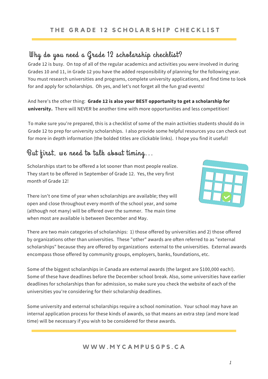## Why do you need a Grade 12 scholarship checklist?

Grade 12 is busy. On top of all of the regular academics and activities you were involved in during Grades 10 and 11, in Grade 12 you have the added responsibility of planning for the following year. You must research universities and programs, complete university applications, and find time to look for and apply for scholarships. Oh yes, and let's not forget all the fun grad events!

And here's the other thing: **Grade 12 is also your BEST opportunity to get a scholarship for university.** There will NEVER be another time with more opportunities and less competition!

To make sure you're prepared, this is a checklist of some of the main activities students should do in Grade 12 to prep for university scholarships. I also provide some helpful resources you can check out for more in depth information (the bolded titles are clickable links). I hope you find it useful!

## But first, we need to talk about timing...

Scholarships start to be offered a lot sooner than most people realize. They start to be offered in September of Grade 12. Yes, the very first month of Grade 12!



There isn't one time of year when scholarships are available; they will open and close throughout every month of the school year, and some (although not many) will be offered over the summer. The main time when most are available is between December and May.

There are two main categories of scholarships: 1) those offered by universities and 2) those offered by organizations other than universities. These "other" awards are often referred to as "external scholarships" because they are offered by organizations external to the universities. External awards encompass those offered by community groups, employers, banks, foundations, etc.

Some of the biggest scholarships in Canada are external awards (the largest are \$100,000 each!). Some of these have deadlines before the December school break. Also, some universities have earlier deadlines for scholarships than for admission, so make sure you check the website of each of the universities you're considering for their scholarship deadlines.

Some university and external scholarships require a school nomination. Your school may have an internal application process for these kinds of awards, so that means an extra step (and more lead time) will be necessary if you wish to be considered for these awards.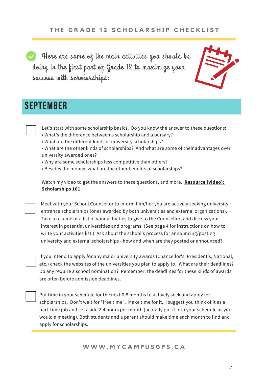Here are some of the main activities you should be doing in the first part of Grade 12 to maximize your success with scholarships:



# **september**

- Let's start with some scholarship basics. Do you know the answer to these questions:
- What's the difference between a scholarship and a bursary?
- What are the different kinds of university scholarships?
- What are the other kinds of scholarships? And what are some of their advantages over university awarded ones?
- Why are some scholarships less competitive than others?
- Besides the money, what are the other benefits of scholarships?

Watch my video to get the answers to these questions, and more. **Resource (video): [Scholarships](https://drive.google.com/file/d/1nnG4wG6wIIrzBYJE-kQnv-IC3wVeq9Yv/view?usp=sharing) 101**

Meet with your School Counsellor to inform him/her you are actively seeking university entrance scholarships (ones awarded by both universities and external organizations). Take a resume or a list of your activities to give to the Counsellor, and discuss your interest in potential universities and programs. (See page 4 for instructions on how to write your activities list.) Ask about the school's process for announcing/posting university and external scholarships - how and when are they posted or announced?

If you intend to apply for any major university awards (Chancellor's, President's, National, etc.) check the websites of the universities you plan to apply to. What are their deadlines? Do any require a school nomination? Remember, the deadlines for these kinds of awards are often before admission deadlines.

Put time in your schedule for the next 6-8 months to actively seek and apply for scholarships. Don't wait for "free time". Make time for it. I suggest you think of it as a part-time job and set aside 2-4 hours per month (actually put it into your schedule as you would a meeting). Both students and a parent should make time each month to find and apply for [scholarships.](https://www.mycampusgps.ca/single-post/2018/06/28/How-to-Partner-with-your-Child-for-Scholarship-Success)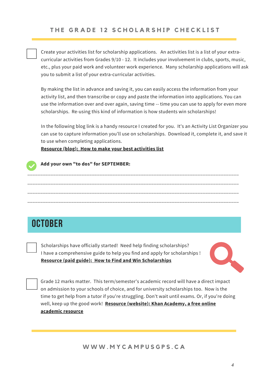Create your activities list for scholarship applications. An activities list is a list of your extracurricular activities from Grades 9/10 - 12. It includes your involvement in clubs, sports, music, etc., plus your paid work and volunteer work experience. Many scholarship applications will ask you to submit a list of your extra-curricular activities.

By making the list in advance and saving it, you can easily access the information from your activity list, and then transcribe or copy and paste the information into applications. You can use the information over and over again, saving time -- time you can use to apply for even more scholarships. Re-using this kind of information is how students win scholarships!

In the following blog link is a handy resource I created for you. It's an Activity List Organizer you can use to capture information you'll use on scholarships. Download it, complete it, and save it to use when completing applications.

\_\_\_\_\_\_\_\_\_\_\_\_\_\_\_\_\_\_\_\_\_\_\_\_\_\_\_\_\_\_\_\_\_\_\_\_\_\_\_\_\_\_\_\_\_\_\_\_\_\_\_\_\_\_\_\_\_\_\_\_\_\_\_\_\_\_\_\_\_\_\_\_\_\_\_\_\_\_\_\_\_\_

\_\_\_\_\_\_\_\_\_\_\_\_\_\_\_\_\_\_\_\_\_\_\_\_\_\_\_\_\_\_\_\_\_\_\_\_\_\_\_\_\_\_\_\_\_\_\_\_\_\_\_\_\_\_\_\_\_\_\_\_\_\_\_\_\_\_\_\_\_\_\_\_\_\_\_\_\_\_\_\_\_\_

\_\_\_\_\_\_\_\_\_\_\_\_\_\_\_\_\_\_\_\_\_\_\_\_\_\_\_\_\_\_\_\_\_\_\_\_\_\_\_\_\_\_\_\_\_\_\_\_\_\_\_\_\_\_\_\_\_\_\_\_\_\_\_\_\_\_\_\_\_\_\_\_\_\_\_\_\_\_\_\_\_\_

**Resource (blog): How to make your best [activities](https://www.mycampusgps.ca/single-post/2018/01/10/How-to-make-your-best-activities-list) list**



#### **Add your own "to dos" for SEPTEMBER:**

# **october**

Scholarships have officially started! Need help finding scholarships? I have a comprehensive guide to help you find and apply for scholarships ! **Resource (paid guide): How to Find and Win [Scholarships](https://www.mycampusgps.ca/scholarship-guidebook)**



Grade 12 marks matter. This term/semester's academic record will have a direct impact on admission to your schools of choice, and for university scholarships too. Now is the time to get help from a tutor if you're struggling. Don't wait until exams. Or, if you're doing well, keep up the good work! **Resource [\(website\):](https://www.khanacademy.org/) Khan Academy, a free online academic resource**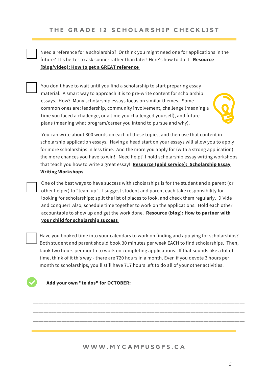Need a reference for a scholarship? Or think you might need one for applications in the future? It's better to ask sooner rather than later! Here's how to do it. **Resource [\(blog/video\):](https://www.mycampusgps.ca/single-post/2018/01/17/How-to-get-a-GREAT-reference) How to get a GREAT referenc[e](https://www.mycampusgps.ca/single-post/2018/01/17/How-to-get-a-GREAT-reference)**

You don't have to wait until you find a scholarship to start preparing essay material. A smart way to approach it is to pre-write content for scholarship essays. How? Many scholarship essays focus on similar themes. Some common ones are: leadership, community involvement, challenge (meaning a time you faced a challenge, or a time you challenged yourself), and future plans (meaning what program/career you intend to pursue and why).

You can write about 300 words on each of these topics, and then use that content in scholarship application essays. Having a head start on your essays will allow you to apply for more scholarships in less time. And the more you apply for (with a strong application) the more chances you have to win! Need help? I hold scholarship essay writing workshops that teach you how to write a great essay! **Resource (paid service): [Scholarship](https://www.mycampusgps.ca/workshops) Essay Writing Workshops**

One of the best ways to have success with scholarships is for the student and a parent (or other helper) to "team up". I suggest student and parent each take responsibility for looking for scholarships; split the list of places to look, and check them regularly. Divide and conquer! Also, schedule time together to work on the applications. Hold each other [accountable](https://www.mycampusgps.ca/single-post/2018/06/28/How-to-Partner-with-your-Child-for-Scholarship-Success) to show up and get the work done. **Resource (blog): How to partner with your child for scholarship success**

Have you booked time into your calendars to work on finding and applying for scholarships? Both student and parent should book 30 minutes per week EACH to find scholarships. Then, book two hours per month to work on completing applications. If that sounds like a lot of time, think of it this way - there are 720 hours in a month. Even if you devote 3 hours per month to scholarships, you'll still have 717 hours left to do all of your other activities!

\_\_\_\_\_\_\_\_\_\_\_\_\_\_\_\_\_\_\_\_\_\_\_\_\_\_\_\_\_\_\_\_\_\_\_\_\_\_\_\_\_\_\_\_\_\_\_\_\_\_\_\_\_\_\_\_\_\_\_\_\_\_\_\_\_\_\_\_\_\_\_\_\_\_\_\_\_\_\_\_\_\_

\_\_\_\_\_\_\_\_\_\_\_\_\_\_\_\_\_\_\_\_\_\_\_\_\_\_\_\_\_\_\_\_\_\_\_\_\_\_\_\_\_\_\_\_\_\_\_\_\_\_\_\_\_\_\_\_\_\_\_\_\_\_\_\_\_\_\_\_\_\_\_\_\_\_\_\_\_\_\_\_\_\_

\_\_\_\_\_\_\_\_\_\_\_\_\_\_\_\_\_\_\_\_\_\_\_\_\_\_\_\_\_\_\_\_\_\_\_\_\_\_\_\_\_\_\_\_\_\_\_\_\_\_\_\_\_\_\_\_\_\_\_\_\_\_\_\_\_\_\_\_\_\_\_\_\_\_\_\_\_\_\_\_\_\_

\_\_\_\_\_\_\_\_\_\_\_\_\_\_\_\_\_\_\_\_\_\_\_\_\_\_\_\_\_\_\_\_\_\_\_\_\_\_\_\_\_\_\_\_\_\_\_\_\_\_\_\_\_\_\_\_\_\_\_\_\_\_\_\_\_\_\_\_\_\_\_\_\_\_\_\_\_\_\_\_\_\_

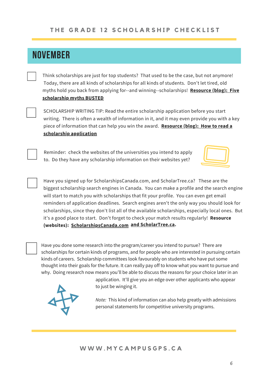# **NOVEMBER**

Think scholarships are just for top students? That used to be the case, but not anymore! Today, there are all kinds of scholarships for all kinds of students. Don't let tired, old myths hold you back from applying for--and [winning--scholarships!](https://www.mycampusgps.ca/single-post/2017/11/01/5-scholarship-myths-BUSTED) **Resource (blog): Five scholarship myths BUSTED**

SCHOLARSHIP WRITING TIP: Read the entire scholarship application before you start writing. There is often a wealth of information in it, and it may even provide you with a key piece of information that can help you win the award. **Resource (blog): How to read a [scholarship](https://www.mycampusgps.ca/single-post/2018/10/03/How-to-read-a-scholarship-application-3-reasons-to-read-the-fine-print) application**

Reminder: check the websites of the universities you intend to apply to. Do they have any scholarship information on their websites yet?



Have you signed up for ScholarshipsCanada.com, and ScholarTree.ca? These are the biggest scholarship search engines in Canada. You can make a profile and the search engine will start to match you with scholarships that fit your profile. You can even get email reminders of application deadlines. Search engines aren't the only way you should look for scholarships, since they don't list all of the available scholarships, especially local ones. But it's a good place to start. Don't forget to check your match results regularly! **Resource (websites): [ScholarshipsCanada.com](https://www.scholarshipscanada.com/) and [ScholarTree.ca](https://scholartree.ca/).**

Have you done some research into the program/career you intend to pursue? There are scholarships for certain kinds of programs, and for people who are interested in pursuing certain kinds of careers. Scholarship committees look favourably on students who have put some thought into their goals for the future. It can really pay off to know what you want to pursue and why. Doing research now means you'll be able to discuss the reasons for your choice later in an



application. It'll give you an edge over other applicants who appear to just be winging it.

*Note:* This kind of information can also help greatly with admissions personal statements for competitive university programs.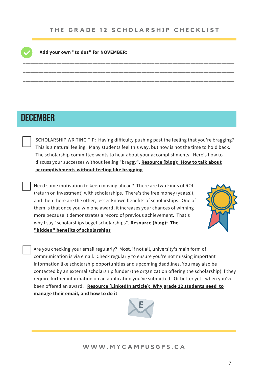\_\_\_\_\_\_\_\_\_\_\_\_\_\_\_\_\_\_\_\_\_\_\_\_\_\_\_\_\_\_\_\_\_\_\_\_\_\_\_\_\_\_\_\_\_\_\_\_\_\_\_\_\_\_\_\_\_\_\_\_\_\_\_\_\_\_\_\_\_\_\_\_\_\_\_\_\_\_\_\_\_\_

\_\_\_\_\_\_\_\_\_\_\_\_\_\_\_\_\_\_\_\_\_\_\_\_\_\_\_\_\_\_\_\_\_\_\_\_\_\_\_\_\_\_\_\_\_\_\_\_\_\_\_\_\_\_\_\_\_\_\_\_\_\_\_\_\_\_\_\_\_\_\_\_\_\_\_\_\_\_\_\_\_\_

\_\_\_\_\_\_\_\_\_\_\_\_\_\_\_\_\_\_\_\_\_\_\_\_\_\_\_\_\_\_\_\_\_\_\_\_\_\_\_\_\_\_\_\_\_\_\_\_\_\_\_\_\_\_\_\_\_\_\_\_\_\_\_\_\_\_\_\_\_\_\_\_\_\_\_\_\_\_\_\_\_\_

\_\_\_\_\_\_\_\_\_\_\_\_\_\_\_\_\_\_\_\_\_\_\_\_\_\_\_\_\_\_\_\_\_\_\_\_\_\_\_\_\_\_\_\_\_\_\_\_\_\_\_\_\_\_\_\_\_\_\_\_\_\_\_\_\_\_\_\_\_\_\_\_\_\_\_\_\_\_\_\_\_\_



#### **Add your own "to dos" for NOVEMBER:**

# **december**

SCHOLARSHIP WRITING TIP: Having difficulty pushing past the feeling that you're bragging? This is a natural feeling. Many students feel this way, but now is not the time to hold back. The scholarship committee wants to hear about your accomplishments! Here's how to discuss your successes without feeling "braggy". **Resource (blog): How to talk about [accomplishments](https://www.mycampusgps.ca/single-post/2018/07/30/How-to-talk-about-accomplishments-without-feeling-like-bragging) without feeling like bragging**

Need some motivation to keep moving ahead? There are two kinds of ROI (return on investment) with scholarships. There's the free money (yaaas!), and then there are the other, lesser known benefits of scholarships. One of them is that once you win one award, it increases your chances of winning more because it demonstrates a record of previous achievement. That's why I say "scholarships beget [scholarships".](https://www.mycampusgps.ca/single-post/2018/08/15/The-hidden-benefits-of-scholarships) **Resource (blog): The "hidden" benefits of scholarships**



Are you checking your email regularly? Most, if not all, university's main form of communication is via email. Check regularly to ensure you're not missing important information like scholarship opportunities and upcoming deadlines. You may also be contacted by an external scholarship funder (the organization offering the scholarship) if they require further information on an application you've submitted. Or better yet - when you've been offered an award! **Resource [\(LinkedIn](https://www.linkedin.com/pulse/why-grade-12-students-need-manage-email-how-do-janet-macdonald/) article): Why grade 12 students need to manage their email, and how to do it**